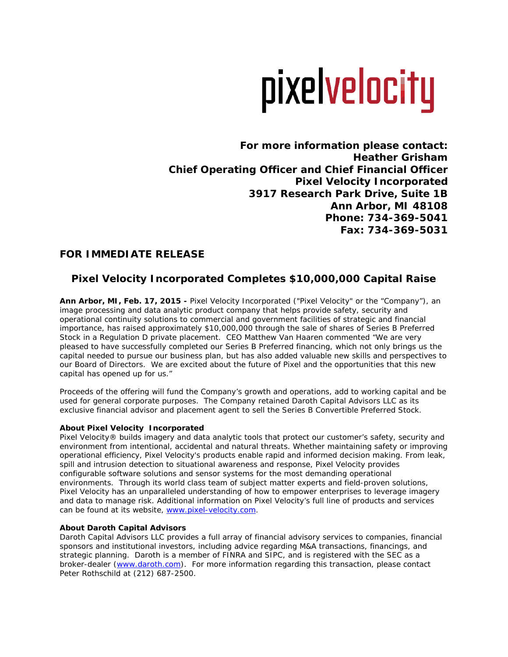# pixelvelocity

**For more information please contact: Heather Grisham Chief Operating Officer and Chief Financial Officer Pixel Velocity Incorporated 3917 Research Park Drive, Suite 1B Ann Arbor, MI 48108 Phone: 734-369-5041 Fax: 734-369-5031**

# **FOR IMMEDIATE RELEASE**

# **Pixel Velocity Incorporated Completes \$10,000,000 Capital Raise**

**Ann Arbor, MI, Feb. 17, 2015 -** Pixel Velocity Incorporated ("Pixel Velocity" or the "Company"), an image processing and data analytic product company that helps provide safety, security and operational continuity solutions to commercial and government facilities of strategic and financial importance, has raised approximately \$10,000,000 through the sale of shares of Series B Preferred Stock in a Regulation D private placement. CEO Matthew Van Haaren commented "We are very pleased to have successfully completed our Series B Preferred financing, which not only brings us the capital needed to pursue our business plan, but has also added valuable new skills and perspectives to our Board of Directors. We are excited about the future of Pixel and the opportunities that this new capital has opened up for us."

Proceeds of the offering will fund the Company's growth and operations, add to working capital and be used for general corporate purposes. The Company retained Daroth Capital Advisors LLC as its exclusive financial advisor and placement agent to sell the Series B Convertible Preferred Stock.

## **About Pixel Velocity Incorporated**

Pixel Velocity® builds imagery and data analytic tools that protect our customer's safety, security and environment from intentional, accidental and natural threats. Whether maintaining safety or improving operational efficiency, Pixel Velocity's products enable rapid and informed decision making. From leak, spill and intrusion detection to situational awareness and response, Pixel Velocity provides configurable software solutions and sensor systems for the most demanding operational environments. Through its world class team of subject matter experts and field-proven solutions, Pixel Velocity has an unparalleled understanding of how to empower enterprises to leverage imagery and data to manage risk. Additional information on Pixel Velocity's full line of products and services can be found at its website, www.pixel-velocity.com.

## **About Daroth Capital Advisors**

Daroth Capital Advisors LLC provides a full array of financial advisory services to companies, financial sponsors and institutional investors, including advice regarding M&A transactions, financings, and strategic planning. Daroth is a member of FINRA and SIPC, and is registered with the SEC as a broker-dealer [\(www.daroth.com\)](http://www.daroth.com/). For more information regarding this transaction, please contact Peter Rothschild at (212) 687-2500.